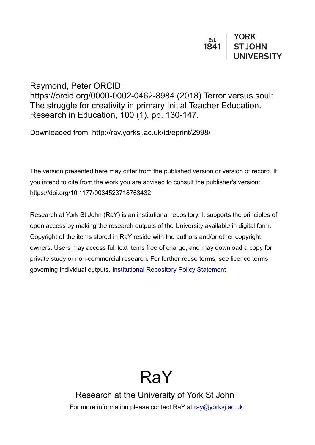Raymond, Peter ORCID: https://orcid.org/0000-0002-0462-8984 (2018) Terror versus soul: The struggle for creativity in primary Initial Teacher Education. Research in Education, 100 (1). pp. 130-147.

Downloaded from: http://ray.yorksj.ac.uk/id/eprint/2998/

The version presented here may differ from the published version or version of record. If you intend to cite from the work you are advised to consult the publisher's version: https://doi.org/10.1177/0034523718763432

Research at York St John (RaY) is an institutional repository. It supports the principles of open access by making the research outputs of the University available in digital form. Copyright of the items stored in RaY reside with the authors and/or other copyright owners. Users may access full text items free of charge, and may download a copy for private study or non-commercial research. For further reuse terms, see licence terms governing individual outputs. [Institutional Repository Policy Statement](https://www.yorksj.ac.uk/ils/repository-policies/)

# RaY

Research at the University of York St John For more information please contact RaY at [ray@yorksj.ac.uk](mailto:ray@yorksj.ac.uk)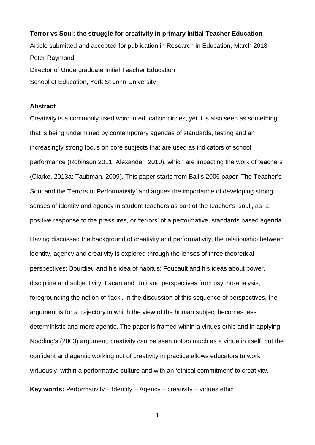**Terror vs Soul; the struggle for creativity in primary Initial Teacher Education**  Article submitted and accepted for publication in Research in Education, March 2018 Peter Raymond Director of Undergraduate Initial Teacher Education School of Education, York St John University

#### **Abstract**

Creativity is a commonly used word in education circles, yet it is also seen as something that is being undermined by contemporary agendas of standards, testing and an increasingly strong focus on core subjects that are used as indicators of school performance (Robinson 2011, Alexander, 2010), which are impacting the work of teachers (Clarke, 2013a; Taubman, 2009). This paper starts from Ball's 2006 paper 'The Teacher's Soul and the Terrors of Performativity' and argues the importance of developing strong senses of identity and agency in student teachers as part of the teacher's 'soul', as a positive response to the pressures, or 'terrors' of a performative, standards based agenda. Having discussed the background of creativity and performativity, the relationship between identity, agency and creativity is explored through the lenses of three theoretical perspectives; Bourdieu and his idea of habitus; Foucault and his ideas about power, discipline and subjectivity; Lacan and Ruti and perspectives from psycho-analysis, foregrounding the notion of 'lack'. In the discussion of this sequence of perspectives, the argument is for a trajectory in which the view of the human subject becomes less deterministic and more agentic. The paper is framed within a virtues ethic and in applying Nodding's (2003) argument, creativity can be seen not so much as a virtue in itself, but the confident and agentic working out of creativity in practice allows educators to work virtuously within a performative culture and with an 'ethical commitment' to creativity.

1

**Key words:** Performativity – Identity – Agency – creativity – virtues ethic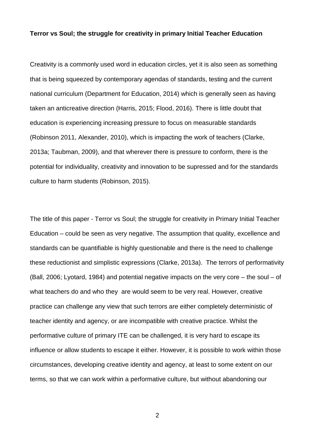#### **Terror vs Soul; the struggle for creativity in primary Initial Teacher Education**

Creativity is a commonly used word in education circles, yet it is also seen as something that is being squeezed by contemporary agendas of standards, testing and the current national curriculum (Department for Education, 2014) which is generally seen as having taken an anticreative direction (Harris, 2015; Flood, 2016). There is little doubt that education is experiencing increasing pressure to focus on measurable standards (Robinson 2011, Alexander, 2010), which is impacting the work of teachers (Clarke, 2013a; Taubman, 2009), and that wherever there is pressure to conform, there is the potential for individuality, creativity and innovation to be supressed and for the standards culture to harm students (Robinson, 2015).

The title of this paper - Terror vs Soul; the struggle for creativity in Primary Initial Teacher Education – could be seen as very negative. The assumption that quality, excellence and standards can be quantifiable is highly questionable and there is the need to challenge these reductionist and simplistic expressions (Clarke, 2013a). The terrors of performativity (Ball, 2006; Lyotard, 1984) and potential negative impacts on the very core – the soul – of what teachers do and who they are would seem to be very real. However, creative practice can challenge any view that such terrors are either completely deterministic of teacher identity and agency, or are incompatible with creative practice. Whilst the performative culture of primary ITE can be challenged, it is very hard to escape its influence or allow students to escape it either. However, it is possible to work within those circumstances, developing creative identity and agency, at least to some extent on our terms, so that we can work within a performative culture, but without abandoning our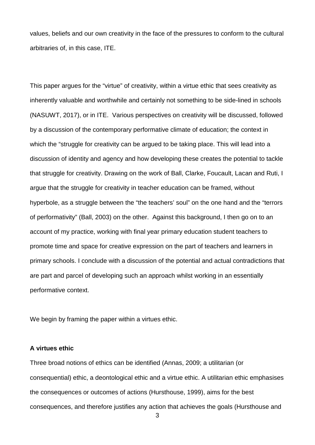values, beliefs and our own creativity in the face of the pressures to conform to the cultural arbitraries of, in this case, ITE.

This paper argues for the "virtue" of creativity, within a virtue ethic that sees creativity as inherently valuable and worthwhile and certainly not something to be side-lined in schools (NASUWT, 2017), or in ITE. Various perspectives on creativity will be discussed, followed by a discussion of the contemporary performative climate of education; the context in which the "struggle for creativity can be argued to be taking place. This will lead into a discussion of identity and agency and how developing these creates the potential to tackle that struggle for creativity. Drawing on the work of Ball, Clarke, Foucault, Lacan and Ruti, I argue that the struggle for creativity in teacher education can be framed, without hyperbole, as a struggle between the "the teachers' soul" on the one hand and the "terrors of performativity" (Ball, 2003) on the other. Against this background, I then go on to an account of my practice, working with final year primary education student teachers to promote time and space for creative expression on the part of teachers and learners in primary schools. I conclude with a discussion of the potential and actual contradictions that are part and parcel of developing such an approach whilst working in an essentially performative context.

We begin by framing the paper within a virtues ethic.

### **A virtues ethic**

Three broad notions of ethics can be identified (Annas, 2009; a utilitarian (or consequential) ethic, a deontological ethic and a virtue ethic. A utilitarian ethic emphasises the consequences or outcomes of actions (Hursthouse, 1999), aims for the best consequences, and therefore justifies any action that achieves the goals (Hursthouse and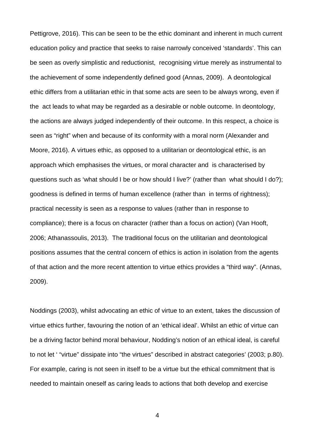Pettigrove, 2016). This can be seen to be the ethic dominant and inherent in much current education policy and practice that seeks to raise narrowly conceived 'standards'. This can be seen as overly simplistic and reductionist, recognising virtue merely as instrumental to the achievement of some independently defined good (Annas, 2009). A deontological ethic differs from a utilitarian ethic in that some acts are seen to be always wrong, even if the act leads to what may be regarded as a desirable or noble outcome. In deontology, the actions are always judged independently of their outcome. In this respect, a choice is seen as "right" when and because of its conformity with a moral norm (Alexander and Moore, 2016). A virtues ethic, as opposed to a utilitarian or deontological ethic, is an approach which emphasises the virtues, or moral character and is characterised by questions such as 'what should I be or how should I live?' (rather than what should I do?); goodness is defined in terms of human excellence (rather than in terms of rightness); practical necessity is seen as a response to values (rather than in response to compliance); there is a focus on character (rather than a focus on action) (Van Hooft, 2006; Athanassoulis, 2013). The traditional focus on the utilitarian and deontological positions assumes that the central concern of ethics is action in isolation from the agents of that action and the more recent attention to virtue ethics provides a "third way". (Annas, 2009).

Noddings (2003), whilst advocating an ethic of virtue to an extent, takes the discussion of virtue ethics further, favouring the notion of an 'ethical ideal'. Whilst an ethic of virtue can be a driving factor behind moral behaviour, Nodding's notion of an ethical ideal, is careful to not let ' "virtue" dissipate into "the virtues" described in abstract categories' (2003; p.80). For example, caring is not seen in itself to be a virtue but the ethical commitment that is needed to maintain oneself as caring leads to actions that both develop and exercise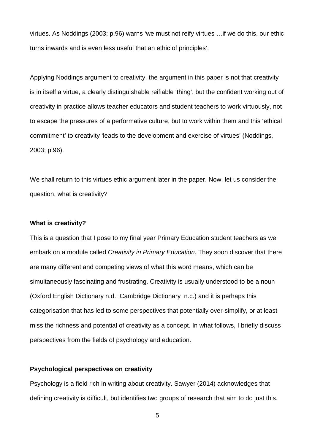virtues. As Noddings (2003; p.96) warns 'we must not reify virtues …if we do this, our ethic turns inwards and is even less useful that an ethic of principles'.

Applying Noddings argument to creativity, the argument in this paper is not that creativity is in itself a virtue, a clearly distinguishable reifiable 'thing', but the confident working out of creativity in practice allows teacher educators and student teachers to work virtuously, not to escape the pressures of a performative culture, but to work within them and this 'ethical commitment' to creativity 'leads to the development and exercise of virtues' (Noddings, 2003; p.96).

We shall return to this virtues ethic argument later in the paper. Now, let us consider the question, what is creativity?

### **What is creativity?**

This is a question that I pose to my final year Primary Education student teachers as we embark on a module called *Creativity in Primary Education*. They soon discover that there are many different and competing views of what this word means, which can be simultaneously fascinating and frustrating. Creativity is usually understood to be a noun (Oxford English Dictionary n.d.; Cambridge Dictionary n.c.) and it is perhaps this categorisation that has led to some perspectives that potentially over-simplify, or at least miss the richness and potential of creativity as a concept. In what follows, I briefly discuss perspectives from the fields of psychology and education.

## **Psychological perspectives on creativity**

Psychology is a field rich in writing about creativity. Sawyer (2014) acknowledges that defining creativity is difficult, but identifies two groups of research that aim to do just this.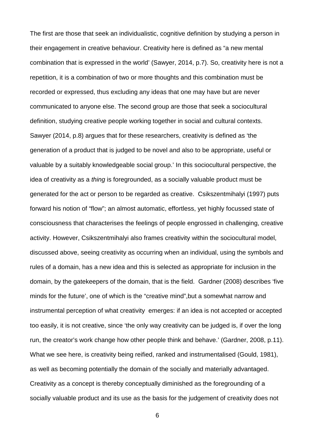The first are those that seek an individualistic, cognitive definition by studying a person in their engagement in creative behaviour. Creativity here is defined as "a new mental combination that is expressed in the world' (Sawyer, 2014, p.7). So, creativity here is not a repetition, it is a combination of two or more thoughts and this combination must be recorded or expressed, thus excluding any ideas that one may have but are never communicated to anyone else. The second group are those that seek a sociocultural definition, studying creative people working together in social and cultural contexts. Sawyer (2014, p.8) argues that for these researchers, creativity is defined as 'the generation of a product that is judged to be novel and also to be appropriate, useful or valuable by a suitably knowledgeable social group.' In this sociocultural perspective, the idea of creativity as a *thing* is foregrounded, as a socially valuable product must be generated for the act or person to be regarded as creative. Csikszentmihalyi (1997) puts forward his notion of "flow"; an almost automatic, effortless, yet highly focussed state of consciousness that characterises the feelings of people engrossed in challenging, creative activity. However, Csikszentmihalyi also frames creativity within the sociocultural model, discussed above, seeing creativity as occurring when an individual, using the symbols and rules of a domain, has a new idea and this is selected as appropriate for inclusion in the domain, by the gatekeepers of the domain, that is the field. Gardner (2008) describes 'five minds for the future', one of which is the "creative mind",but a somewhat narrow and instrumental perception of what creativity emerges: if an idea is not accepted or accepted too easily, it is not creative, since 'the only way creativity can be judged is, if over the long run, the creator's work change how other people think and behave.' (Gardner, 2008, p.11). What we see here, is creativity being reified, ranked and instrumentalised (Gould, 1981), as well as becoming potentially the domain of the socially and materially advantaged. Creativity as a concept is thereby conceptually diminished as the foregrounding of a socially valuable product and its use as the basis for the judgement of creativity does not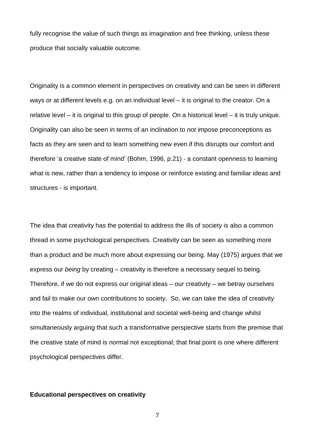fully recognise the value of such things as imagination and free thinking, unless these produce that socially valuable outcome.

Originality is a common element in perspectives on creativity and can be seen in different ways or at different levels e.g. on an individual level – it is original to the creator. On a relative level – it is original to this group of people. On a historical level – it is truly unique. Originality can also be seen in terms of an inclination to *not* impose preconceptions as facts as they are seen and to learn something new even if this disrupts our comfort and therefore 'a creative state of mind' (Bohm, 1996, p.21) - a constant openness to learning what is new, rather than a tendency to impose or reinforce existing and familiar ideas and structures - is important.

The idea that creativity has the potential to address the ills of society is also a common thread in some psychological perspectives. Creativity can be seen as something more than a product and be much more about expressing our being. May (1975) argues that we express our *being* by creating – creativity is therefore a necessary sequel to being. Therefore, if we do not express our original ideas – our creativity – we betray ourselves and fail to make our own contributions to society. So, we can take the idea of creativity into the realms of individual, institutional and societal well-being and change whilst simultaneously arguing that such a transformative perspective starts from the premise that the creative state of mind is normal not exceptional; that final point is one where different psychological perspectives differ.

#### **Educational perspectives on creativity**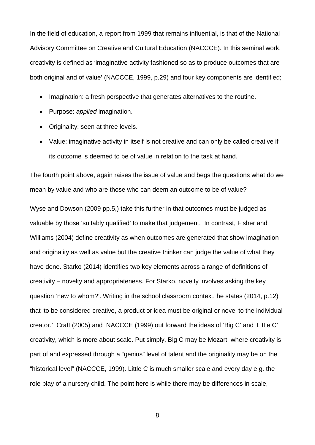In the field of education, a report from 1999 that remains influential, is that of the National Advisory Committee on Creative and Cultural Education (NACCCE). In this seminal work, creativity is defined as 'imaginative activity fashioned so as to produce outcomes that are both original and of value' (NACCCE, 1999, p.29) and four key components are identified;

- Imagination: a fresh perspective that generates alternatives to the routine.
- Purpose: *applied* imagination.
- Originality: seen at three levels.
- Value: imaginative activity in itself is not creative and can only be called creative if its outcome is deemed to be of value in relation to the task at hand.

The fourth point above, again raises the issue of value and begs the questions what do we mean by value and who are those who can deem an outcome to be of value?

Wyse and Dowson (2009 pp.5,) take this further in that outcomes must be judged as valuable by those 'suitably qualified' to make that judgement. In contrast, Fisher and Williams (2004) define creativity as when outcomes are generated that show imagination and originality as well as value but the creative thinker can judge the value of what they have done. Starko (2014) identifies two key elements across a range of definitions of creativity – novelty and appropriateness. For Starko, novelty involves asking the key question 'new to whom?'. Writing in the school classroom context, he states (2014, p.12) that 'to be considered creative, a product or idea must be original or novel to the individual creator.' Craft (2005) and NACCCE (1999) out forward the ideas of 'Big C' and 'Little C' creativity, which is more about scale. Put simply, Big C may be Mozart where creativity is part of and expressed through a "genius" level of talent and the originality may be on the "historical level" (NACCCE, 1999). Little C is much smaller scale and every day e.g. the role play of a nursery child. The point here is while there may be differences in scale,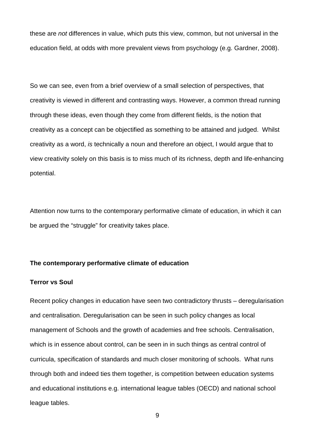these are *not* differences in value, which puts this view, common, but not universal in the education field, at odds with more prevalent views from psychology (e.g. Gardner, 2008).

So we can see, even from a brief overview of a small selection of perspectives, that creativity is viewed in different and contrasting ways. However, a common thread running through these ideas, even though they come from different fields, is the notion that creativity as a concept can be objectified as something to be attained and judged. Whilst creativity as a word, *is* technically a noun and therefore an object, I would argue that to view creativity solely on this basis is to miss much of its richness, depth and life-enhancing potential.

Attention now turns to the contemporary performative climate of education, in which it can be argued the "struggle" for creativity takes place.

### **The contemporary performative climate of education**

## **Terror vs Soul**

Recent policy changes in education have seen two contradictory thrusts – deregularisation and centralisation. Deregularisation can be seen in such policy changes as local management of Schools and the growth of academies and free schools. Centralisation, which is in essence about control, can be seen in in such things as central control of curricula, specification of standards and much closer monitoring of schools. What runs through both and indeed ties them together, is competition between education systems and educational institutions e.g. international league tables (OECD) and national school league tables.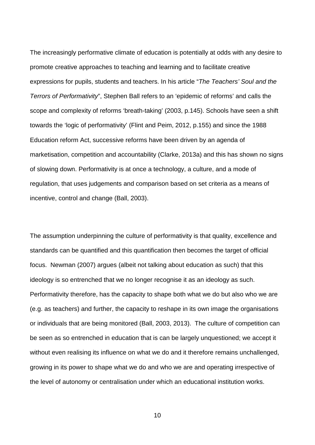The increasingly performative climate of education is potentially at odds with any desire to promote creative approaches to teaching and learning and to facilitate creative expressions for pupils, students and teachers. In his article "*The Teachers' Soul and the Terrors of Performativity*", Stephen Ball refers to an 'epidemic of reforms' and calls the scope and complexity of reforms 'breath-taking' (2003, p.145). Schools have seen a shift towards the 'logic of performativity' (Flint and Peim, 2012, p.155) and since the 1988 Education reform Act, successive reforms have been driven by an agenda of marketisation, competition and accountability (Clarke, 2013a) and this has shown no signs of slowing down. Performativity is at once a technology, a culture, and a mode of regulation, that uses judgements and comparison based on set criteria as a means of incentive, control and change (Ball, 2003).

The assumption underpinning the culture of performativity is that quality, excellence and standards can be quantified and this quantification then becomes the target of official focus. Newman (2007) argues (albeit not talking about education as such) that this ideology is so entrenched that we no longer recognise it as an ideology as such. Performativity therefore, has the capacity to shape both what we do but also who we are (e.g. as teachers) and further, the capacity to reshape in its own image the organisations or individuals that are being monitored (Ball, 2003, 2013). The culture of competition can be seen as so entrenched in education that is can be largely unquestioned; we accept it without even realising its influence on what we do and it therefore remains unchallenged, growing in its power to shape what we do and who we are and operating irrespective of the level of autonomy or centralisation under which an educational institution works.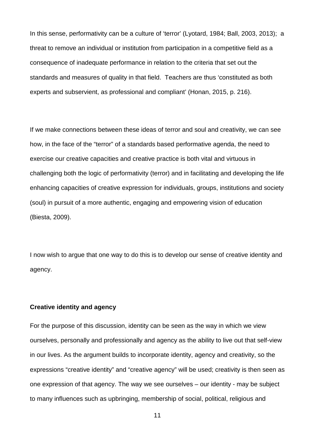In this sense, performativity can be a culture of 'terror' (Lyotard, 1984; Ball, 2003, 2013); a threat to remove an individual or institution from participation in a competitive field as a consequence of inadequate performance in relation to the criteria that set out the standards and measures of quality in that field. Teachers are thus 'constituted as both experts and subservient, as professional and compliant' (Honan, 2015, p. 216).

If we make connections between these ideas of terror and soul and creativity, we can see how, in the face of the "terror" of a standards based performative agenda, the need to exercise our creative capacities and creative practice is both vital and virtuous in challenging both the logic of performativity (terror) and in facilitating and developing the life enhancing capacities of creative expression for individuals, groups, institutions and society (soul) in pursuit of a more authentic, engaging and empowering vision of education (Biesta, 2009).

I now wish to argue that one way to do this is to develop our sense of creative identity and agency.

## **Creative identity and agency**

For the purpose of this discussion, identity can be seen as the way in which we view ourselves, personally and professionally and agency as the ability to live out that self-view in our lives. As the argument builds to incorporate identity, agency and creativity, so the expressions "creative identity" and "creative agency" will be used; creativity is then seen as one expression of that agency. The way we see ourselves – our identity - may be subject to many influences such as upbringing, membership of social, political, religious and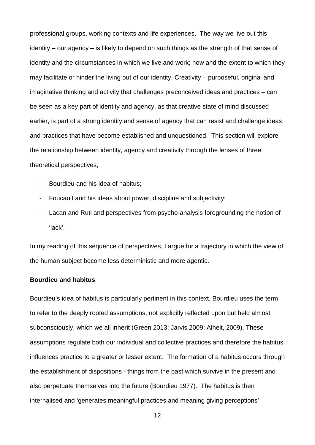professional groups, working contexts and life experiences. The way we live out this identity – our agency – is likely to depend on such things as the strength of that sense of identity and the circumstances in which we live and work; how and the extent to which they may facilitate or hinder the living out of our identity. Creativity – purposeful, original and imaginative thinking and activity that challenges preconceived ideas and practices – can be seen as a key part of identity and agency, as that creative state of mind discussed earlier, is part of a strong identity and sense of agency that can resist and challenge ideas and practices that have become established and unquestioned. This section will explore the relationship between identity, agency and creativity through the lenses of three theoretical perspectives;

- Bourdieu and his idea of habitus;
- Foucault and his ideas about power, discipline and subjectivity;
- Lacan and Ruti and perspectives from psycho-analysis foregrounding the notion of 'lack'.

In my reading of this sequence of perspectives, I argue for a trajectory in which the view of the human subject become less deterministic and more agentic.

## **Bourdieu and habitus**

Bourdieu's idea of habitus is particularly pertinent in this context. Bourdieu uses the term to refer to the deeply rooted assumptions, not explicitly reflected upon but held almost subconsciously, which we all inherit (Green 2013; Jarvis 2009; Alheit, 2009). These assumptions regulate both our individual and collective practices and therefore the habitus influences practice to a greater or lesser extent. The formation of a habitus occurs through the establishment of dispositions - things from the past which survive in the present and also perpetuate themselves into the future (Bourdieu 1977). The habitus is then internalised and 'generates meaningful practices and meaning giving perceptions'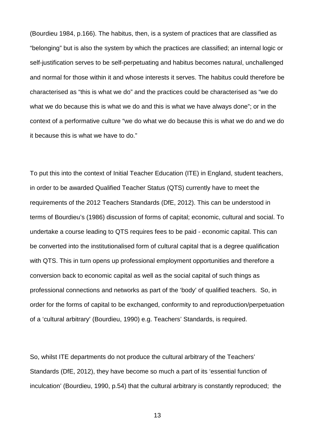(Bourdieu 1984, p.166). The habitus, then, is a system of practices that are classified as "belonging" but is also the system by which the practices are classified; an internal logic or self-justification serves to be self-perpetuating and habitus becomes natural, unchallenged and normal for those within it and whose interests it serves. The habitus could therefore be characterised as "this is what we do" and the practices could be characterised as "we do what we do because this is what we do and this is what we have always done"; or in the context of a performative culture "we do what we do because this is what we do and we do it because this is what we have to do."

To put this into the context of Initial Teacher Education (ITE) in England, student teachers, in order to be awarded Qualified Teacher Status (QTS) currently have to meet the requirements of the 2012 Teachers Standards (DfE, 2012). This can be understood in terms of Bourdieu's (1986) discussion of forms of capital; economic, cultural and social. To undertake a course leading to QTS requires fees to be paid - economic capital. This can be converted into the institutionalised form of cultural capital that is a degree qualification with QTS. This in turn opens up professional employment opportunities and therefore a conversion back to economic capital as well as the social capital of such things as professional connections and networks as part of the 'body' of qualified teachers. So, in order for the forms of capital to be exchanged, conformity to and reproduction/perpetuation of a 'cultural arbitrary' (Bourdieu, 1990) e.g. Teachers' Standards, is required.

So, whilst ITE departments do not produce the cultural arbitrary of the Teachers' Standards (DfE, 2012), they have become so much a part of its 'essential function of inculcation' (Bourdieu, 1990, p.54) that the cultural arbitrary is constantly reproduced; the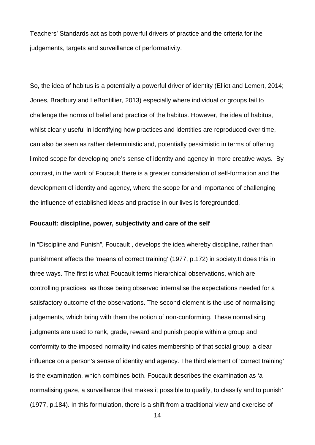Teachers' Standards act as both powerful drivers of practice and the criteria for the judgements, targets and surveillance of performativity.

So, the idea of habitus is a potentially a powerful driver of identity (Elliot and Lemert, 2014; Jones, Bradbury and LeBontillier, 2013) especially where individual or groups fail to challenge the norms of belief and practice of the habitus. However, the idea of habitus, whilst clearly useful in identifying how practices and identities are reproduced over time, can also be seen as rather deterministic and, potentially pessimistic in terms of offering limited scope for developing one's sense of identity and agency in more creative ways. By contrast, in the work of Foucault there is a greater consideration of self-formation and the development of identity and agency, where the scope for and importance of challenging the influence of established ideas and practise in our lives is foregrounded.

## **Foucault: discipline, power, subjectivity and care of the self**

In "Discipline and Punish", Foucault , develops the idea whereby discipline, rather than punishment effects the 'means of correct training' (1977, p.172) in society.It does this in three ways. The first is what Foucault terms hierarchical observations, which are controlling practices, as those being observed internalise the expectations needed for a satisfactory outcome of the observations. The second element is the use of normalising judgements, which bring with them the notion of non-conforming. These normalising judgments are used to rank, grade, reward and punish people within a group and conformity to the imposed normality indicates membership of that social group; a clear influence on a person's sense of identity and agency. The third element of 'correct training' is the examination, which combines both. Foucault describes the examination as 'a normalising gaze, a surveillance that makes it possible to qualify, to classify and to punish' (1977, p.184). In this formulation, there is a shift from a traditional view and exercise of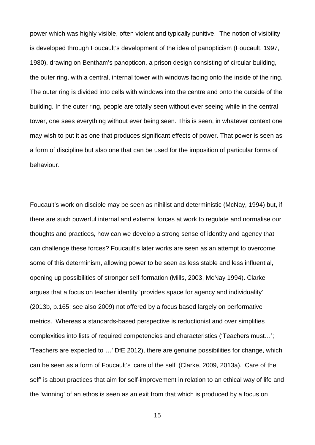power which was highly visible, often violent and typically punitive. The notion of visibility is developed through Foucault's development of the idea of panopticism (Foucault, 1997, 1980), drawing on Bentham's panopticon, a prison design consisting of circular building, the outer ring, with a central, internal tower with windows facing onto the inside of the ring. The outer ring is divided into cells with windows into the centre and onto the outside of the building. In the outer ring, people are totally seen without ever seeing while in the central tower, one sees everything without ever being seen. This is seen, in whatever context one may wish to put it as one that produces significant effects of power. That power is seen as a form of discipline but also one that can be used for the imposition of particular forms of behaviour.

Foucault's work on disciple may be seen as nihilist and deterministic (McNay, 1994) but, if there are such powerful internal and external forces at work to regulate and normalise our thoughts and practices, how can we develop a strong sense of identity and agency that can challenge these forces? Foucault's later works are seen as an attempt to overcome some of this determinism, allowing power to be seen as less stable and less influential, opening up possibilities of stronger self-formation (Mills, 2003, McNay 1994). Clarke argues that a focus on teacher identity 'provides space for agency and individuality' (2013b, p.165; see also 2009) not offered by a focus based largely on performative metrics. Whereas a standards-based perspective is reductionist and over simplifies complexities into lists of required competencies and characteristics ('Teachers must…'; 'Teachers are expected to …' DfE 2012), there are genuine possibilities for change, which can be seen as a form of Foucault's 'care of the self' (Clarke, 2009, 2013a). 'Care of the self' is about practices that aim for self-improvement in relation to an ethical way of life and the 'winning' of an ethos is seen as an exit from that which is produced by a focus on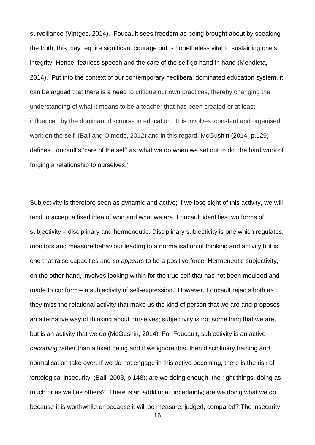surveillance (Vintges, 2014). Foucault sees freedom as being brought about by speaking the truth; this may require significant courage but is nonetheless vital to sustaining one's integrity. Hence, fearless speech and the care of the self go hand in hand (Mendieta, 2014). Put into the context of our contemporary neoliberal dominated education system, it can be argued that there is a need to critique our own practices, thereby changing the understanding of what it means to be a teacher that has been created or at least influenced by the dominant discourse in education. This involves 'constant and organised work on the self' (Ball and Olmedo, 2012) and in this regard, McGushin (2014, p.129) defines Foucault's 'care of the self' as 'what we do when we set out to do the hard work of forging a relationship to ourselves.'

Subjectivity is therefore seen as dynamic and active; if we lose sight of this activity, we will tend to accept a fixed idea of who and what we are. Foucault identifies two forms of subjectivity – disciplinary and hermeneutic. Disciplinary subjectivity is one which regulates, monitors and measure behaviour leading to a normalisation of thinking and activity but is one that raise capacities and so *appears* to be a positive force. Hermeneutic subjectivity, on the other hand, involves looking within for the true self that has not been moulded and made to conform – a subjectivity of self-expression. However, Foucault rejects both as they miss the relational activity that make us the kind of person that we are and proposes an alternative way of thinking about ourselves; subjectivity is not something that we are, but is an activity that we do (McGushin, 2014). For Foucault, subjectivity is an active *becoming* rather than a fixed being and if we ignore this, then disciplinary training and normalisation take over. If we do not engage in this active becoming, there is the risk of 'ontological insecurity' (Ball, 2003, p.148); are we doing enough, the right things, doing as much or as well as others? There is an additional uncertainty; are we doing what we do because it is worthwhile or because it will be measure, judged, compared? The insecurity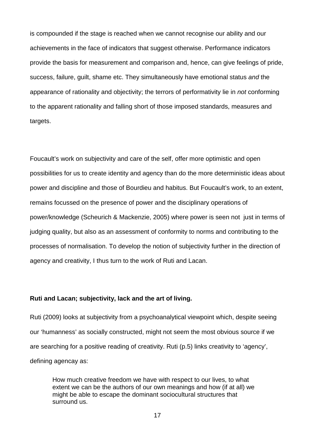is compounded if the stage is reached when we cannot recognise our ability and our achievements in the face of indicators that suggest otherwise. Performance indicators provide the basis for measurement and comparison and, hence, can give feelings of pride, success, failure, guilt, shame etc. They simultaneously have emotional status *and* the appearance of rationality and objectivity; the terrors of performativity lie in *not* conforming to the apparent rationality and falling short of those imposed standards, measures and targets.

Foucault's work on subjectivity and care of the self, offer more optimistic and open possibilities for us to create identity and agency than do the more deterministic ideas about power and discipline and those of Bourdieu and habitus. But Foucault's work, to an extent, remains focussed on the presence of power and the disciplinary operations of power/knowledge (Scheurich & Mackenzie, 2005) where power is seen not just in terms of judging quality, but also as an assessment of conformity to norms and contributing to the processes of normalisation. To develop the notion of subjectivity further in the direction of agency and creativity, I thus turn to the work of Ruti and Lacan.

#### **Ruti and Lacan; subjectivity, lack and the art of living.**

Ruti (2009) looks at subjectivity from a psychoanalytical viewpoint which, despite seeing our 'humanness' as socially constructed, might not seem the most obvious source if we are searching for a positive reading of creativity. Ruti (p.5) links creativity to 'agency', defining agencay as:

How much creative freedom we have with respect to our lives, to what extent we can be the authors of our own meanings and how (if at all) we might be able to escape the dominant sociocultural structures that surround us.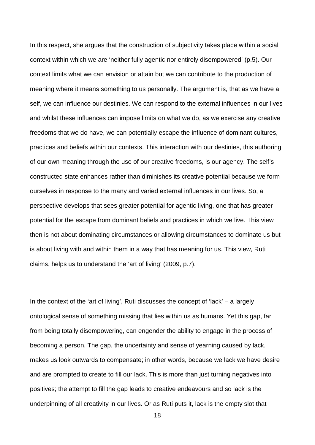In this respect, she argues that the construction of subjectivity takes place within a social context within which we are 'neither fully agentic nor entirely disempowered' (p.5). Our context limits what we can envision or attain but we can contribute to the production of meaning where it means something to us personally. The argument is, that as we have a self, we can influence our destinies. We can respond to the external influences in our lives and whilst these influences can impose limits on what we do, as we exercise any creative freedoms that we do have, we can potentially escape the influence of dominant cultures, practices and beliefs within our contexts. This interaction with our destinies, this authoring of our own meaning through the use of our creative freedoms, is our agency. The self's constructed state enhances rather than diminishes its creative potential because we form ourselves in response to the many and varied external influences in our lives. So, a perspective develops that sees greater potential for agentic living, one that has greater potential for the escape from dominant beliefs and practices in which we live. This view then is not about dominating circumstances or allowing circumstances to dominate us but is about living with and within them in a way that has meaning for us. This view, Ruti claims, helps us to understand the 'art of living' (2009, p.7).

In the context of the 'art of living', Ruti discusses the concept of 'lack'  $-$  a largely ontological sense of something missing that lies within us as humans. Yet this gap, far from being totally disempowering, can engender the ability to engage in the process of becoming a person. The gap, the uncertainty and sense of yearning caused by lack, makes us look outwards to compensate; in other words, because we lack we have desire and are prompted to create to fill our lack. This is more than just turning negatives into positives; the attempt to fill the gap leads to creative endeavours and so lack is the underpinning of all creativity in our lives. Or as Ruti puts it, lack is the empty slot that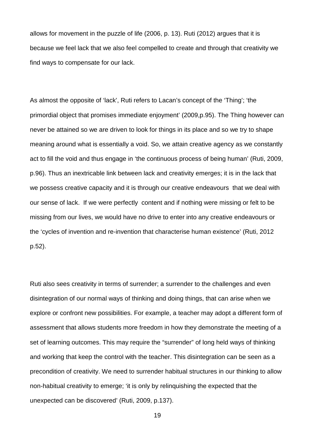allows for movement in the puzzle of life (2006, p. 13). Ruti (2012) argues that it is because we feel lack that we also feel compelled to create and through that creativity we find ways to compensate for our lack.

As almost the opposite of 'lack', Ruti refers to Lacan's concept of the 'Thing'; 'the primordial object that promises immediate enjoyment' (2009,p.95). The Thing however can never be attained so we are driven to look for things in its place and so we try to shape meaning around what is essentially a void. So, we attain creative agency as we constantly act to fill the void and thus engage in 'the continuous process of being human' (Ruti, 2009, p.96). Thus an inextricable link between lack and creativity emerges; it is in the lack that we possess creative capacity and it is through our creative endeavours that we deal with our sense of lack. If we were perfectly content and if nothing were missing or felt to be missing from our lives, we would have no drive to enter into any creative endeavours or the 'cycles of invention and re-invention that characterise human existence' (Ruti, 2012 p.52).

Ruti also sees creativity in terms of surrender; a surrender to the challenges and even disintegration of our normal ways of thinking and doing things, that can arise when we explore or confront new possibilities. For example, a teacher may adopt a different form of assessment that allows students more freedom in how they demonstrate the meeting of a set of learning outcomes. This may require the "surrender" of long held ways of thinking and working that keep the control with the teacher. This disintegration can be seen as a precondition of creativity. We need to surrender habitual structures in our thinking to allow non-habitual creativity to emerge; 'it is only by relinquishing the expected that the unexpected can be discovered' (Ruti, 2009, p.137).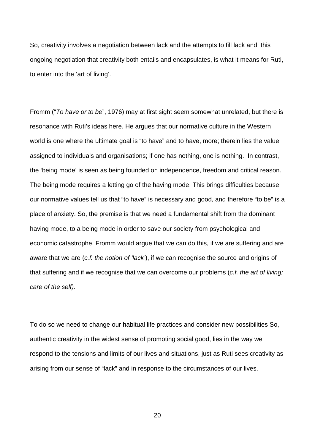So, creativity involves a negotiation between lack and the attempts to fill lack and this ongoing negotiation that creativity both entails and encapsulates, is what it means for Ruti, to enter into the 'art of living'.

Fromm ("*To have or to be*", 1976) may at first sight seem somewhat unrelated, but there is resonance with Ruti's ideas here. He argues that our normative culture in the Western world is one where the ultimate goal is "to have" and to have, more; therein lies the value assigned to individuals and organisations; if one has nothing, one is nothing. In contrast, the 'being mode' is seen as being founded on independence, freedom and critical reason. The being mode requires a letting go of the having mode. This brings difficulties because our normative values tell us that "to have" is necessary and good, and therefore "to be" is a place of anxiety. So, the premise is that we need a fundamental shift from the dominant having mode, to a being mode in order to save our society from psychological and economic catastrophe. Fromm would argue that we can do this, if we are suffering and are aware that we are (*c.f. the notion of 'lack'*), if we can recognise the source and origins of that suffering and if we recognise that we can overcome our problems (*c.f. the art of living; care of the self).*

To do so we need to change our habitual life practices and consider new possibilities So, authentic creativity in the widest sense of promoting social good, lies in the way we respond to the tensions and limits of our lives and situations, just as Ruti sees creativity as arising from our sense of "lack" and in response to the circumstances of our lives.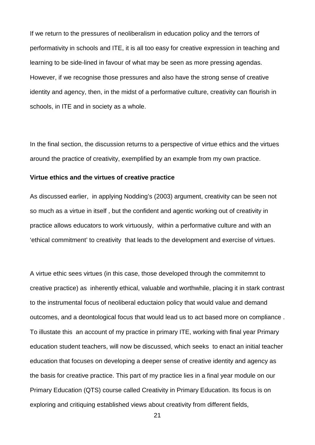If we return to the pressures of neoliberalism in education policy and the terrors of performativity in schools and ITE, it is all too easy for creative expression in teaching and learning to be side-lined in favour of what may be seen as more pressing agendas. However, if we recognise those pressures and also have the strong sense of creative identity and agency, then, in the midst of a performative culture, creativity can flourish in schools, in ITE and in society as a whole.

In the final section, the discussion returns to a perspective of virtue ethics and the virtues around the practice of creativity, exemplified by an example from my own practice.

#### **Virtue ethics and the virtues of creative practice**

As discussed earlier, in applying Nodding's (2003) argument, creativity can be seen not so much as a virtue in itself , but the confident and agentic working out of creativity in practice allows educators to work virtuously, within a performative culture and with an 'ethical commitment' to creativity that leads to the development and exercise of virtues.

A virtue ethic sees virtues (in this case, those developed through the commitemnt to creative practice) as inherently ethical, valuable and worthwhile, placing it in stark contrast to the instrumental focus of neoliberal eductaion policy that would value and demand outcomes, and a deontological focus that would lead us to act based more on compliance . To illustate this an account of my practice in primary ITE, working with final year Primary education student teachers, will now be discussed, which seeks to enact an initial teacher education that focuses on developing a deeper sense of creative identity and agency as the basis for creative practice. This part of my practice lies in a final year module on our Primary Education (QTS) course called Creativity in Primary Education. Its focus is on exploring and critiquing established views about creativity from different fields,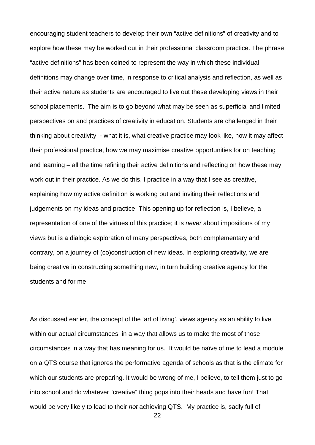encouraging student teachers to develop their own "active definitions" of creativity and to explore how these may be worked out in their professional classroom practice. The phrase "active definitions" has been coined to represent the way in which these individual definitions may change over time, in response to critical analysis and reflection, as well as their active nature as students are encouraged to live out these developing views in their school placements. The aim is to go beyond what may be seen as superficial and limited perspectives on and practices of creativity in education. Students are challenged in their thinking about creativity - what it is, what creative practice may look like, how it may affect their professional practice, how we may maximise creative opportunities for on teaching and learning – all the time refining their active definitions and reflecting on how these may work out in their practice. As we do this, I practice in a way that I see as creative, explaining how my active definition is working out and inviting their reflections and judgements on my ideas and practice. This opening up for reflection is, I believe, a representation of one of the virtues of this practice; it is *never* about impositions of my views but is a dialogic exploration of many perspectives, both complementary and contrary, on a journey of (co)construction of new ideas. In exploring creativity, we are being creative in constructing something new, in turn building creative agency for the students and for me.

As discussed earlier, the concept of the 'art of living', views agency as an ability to live within our actual circumstances in a way that allows us to make the most of those circumstances in a way that has meaning for us. It would be naïve of me to lead a module on a QTS course that ignores the performative agenda of schools as that is the climate for which our students are preparing. It would be wrong of me, I believe, to tell them just to go into school and do whatever "creative" thing pops into their heads and have fun! That would be very likely to lead to their *not* achieving QTS. My practice is, sadly full of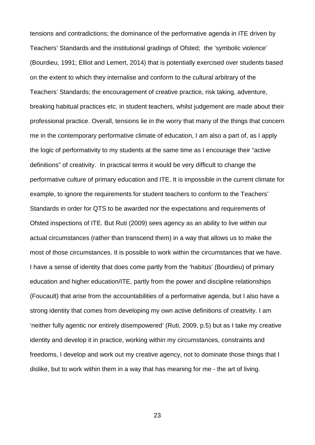tensions and contradictions; the dominance of the performative agenda in ITE driven by Teachers' Standards and the institutional gradings of Ofsted; the 'symbolic violence' (Bourdieu, 1991; Elliot and Lemert, 2014) that is potentially exercised over students based on the extent to which they internalise and conform to the cultural arbitrary of the Teachers' Standards; the encouragement of creative practice, risk taking, adventure, breaking habitual practices etc. in student teachers, whilst judgement are made about their professional practice. Overall, tensions lie in the worry that many of the things that concern me in the contemporary performative climate of education, I am also a part of, as I apply the logic of performativity to my students at the same time as I encourage their "active definitions" of creativity. In practical terms it would be very difficult to change the performative culture of primary education and ITE. It is impossible in the current climate for example, to ignore the requirements for student teachers to conform to the Teachers' Standards in order for QTS to be awarded nor the expectations and requirements of Ofsted inspections of ITE. But Ruti (2009) sees agency as an ability to live within our actual circumstances (rather than transcend them) in a way that allows us to make the most of those circumstances. It is possible to work within the circumstances that we have. I have a sense of identity that does come partly from the 'habitus' (Bourdieu) of primary education and higher education/ITE, partly from the power and discipline relationships (Foucault) that arise from the accountabilities of a performative agenda, but I also have a strong identity that comes from developing my own active definitions of creativity. I am 'neither fully agentic nor entirely disempowered' (Ruti, 2009, p.5) but as I take my creative identity and develop it in practice, working within my circumstances, constraints and freedoms, I develop and work out my creative agency, not to dominate those things that I dislike, but to work within them in a way that has meaning for me - the art of living.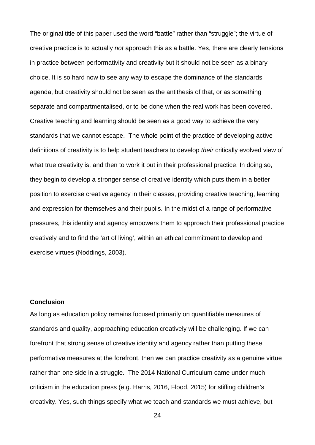The original title of this paper used the word "battle" rather than "struggle"; the virtue of creative practice is to actually *not* approach this as a battle. Yes, there are clearly tensions in practice between performativity and creativity but it should not be seen as a binary choice. It is so hard now to see any way to escape the dominance of the standards agenda, but creativity should not be seen as the antithesis of that, or as something separate and compartmentalised, or to be done when the real work has been covered. Creative teaching and learning should be seen as a good way to achieve the very standards that we cannot escape. The whole point of the practice of developing active definitions of creativity is to help student teachers to develop *their* critically evolved view of what true creativity is, and then to work it out in their professional practice. In doing so, they begin to develop a stronger sense of creative identity which puts them in a better position to exercise creative agency in their classes, providing creative teaching, learning and expression for themselves and their pupils. In the midst of a range of performative pressures, this identity and agency empowers them to approach their professional practice creatively and to find the 'art of living', within an ethical commitment to develop and exercise virtues (Noddings, 2003).

#### **Conclusion**

As long as education policy remains focused primarily on quantifiable measures of standards and quality, approaching education creatively will be challenging. If we can forefront that strong sense of creative identity and agency rather than putting these performative measures at the forefront, then we can practice creativity as a genuine virtue rather than one side in a struggle. The 2014 National Curriculum came under much criticism in the education press (e.g. Harris, 2016, Flood, 2015) for stifling children's creativity. Yes, such things specify what we teach and standards we must achieve, but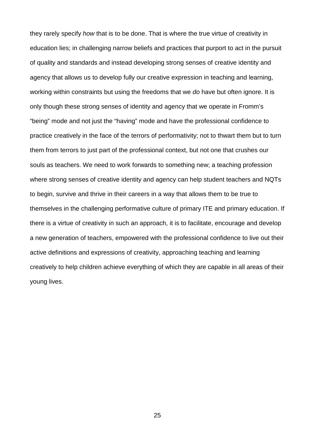they rarely specify *how* that is to be done. That is where the true virtue of creativity in education lies; in challenging narrow beliefs and practices that purport to act in the pursuit of quality and standards and instead developing strong senses of creative identity and agency that allows us to develop fully our creative expression in teaching and learning, working within constraints but using the freedoms that we *do* have but often ignore. It is only though these strong senses of identity and agency that we operate in Fromm's "being" mode and not just the "having" mode and have the professional confidence to practice creatively in the face of the terrors of performativity; not to thwart them but to turn them from terrors to just part of the professional context, but not one that crushes our souls as teachers. We need to work forwards to something new; a teaching profession where strong senses of creative identity and agency can help student teachers and NQTs to begin, survive and thrive in their careers in a way that allows them to be true to themselves in the challenging performative culture of primary ITE and primary education. If there is a virtue of creativity in such an approach, it is to facilitate, encourage and develop a new generation of teachers, empowered with the professional confidence to live out their active definitions and expressions of creativity, approaching teaching and learning creatively to help children achieve everything of which they are capable in all areas of their young lives.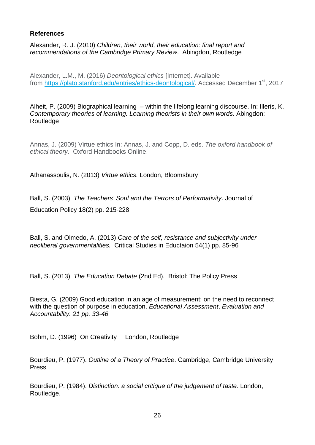# **References**

Alexander, R. J. (2010) *Children, their world, their education: final report and recommendations of the Cambridge Primary Review*. Abingdon, Routledge

Alexander, L.M., M. (2016) *Deontological ethics* [Internet]. Available from [https://plato.stanford.edu/entries/ethics-deontological/.](https://plato.stanford.edu/entries/ethics-deontological/) Accessed December 1<sup>st</sup>, 2017

Alheit, P. (2009) Biographical learning – within the lifelong learning discourse. In: Illeris, K. *Contemporary theories of learning. Learning theorists in their own words.* Abingdon: Routledge

Annas, J. (2009) Virtue ethics In: Annas, J. and Copp, D. eds. *The oxford handbook of ethical theory.* Oxford Handbooks Online.

Athanassoulis, N. (2013) *Virtue ethics.* London, Bloomsbury

Ball, S. (2003) *The Teachers' Soul and the Terrors of Performativity*. Journal of Education Policy 18(2) pp. 215-228

Ball, S. and Olmedo, A. (2013) *Care of the self, resistance and subjectivity under neoliberal governmentalities.* Critical Studies in Eductaion 54(1) pp. 85-96

Ball, S. (2013) *The Education Debate* (2nd Ed). Bristol: The Policy Press

Biesta, G. (2009) Good education in an age of measurement: on the need to reconnect with the question of purpose in education. *Educational Assessment*, *Evaluation and Accountability. 21 pp. 33-46*

Bohm, D. (1996) On Creativity London, Routledge

Bourdieu, P. (1977). *Outline of a Theory of Practice*. Cambridge, Cambridge University Press

Bourdieu, P. (1984). *Distinction: a social critique of the judgement of taste.* London, Routledge.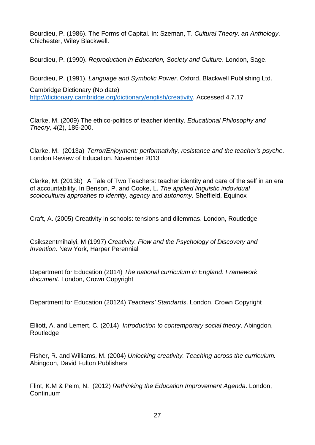Bourdieu, P. (1986). The Forms of Capital. In: Szeman, T. *Cultural Theory: an Anthology*. Chichester, Wiley Blackwell.

Bourdieu, P. (1990). *Reproduction in Education, Society and Culture*. London, Sage.

Bourdieu, P. (1991). *Language and Symbolic Power*. Oxford, Blackwell Publishing Ltd.

Cambridge Dictionary (No date) [http://dictionary.cambridge.org/dictionary/english/creativity.](http://dictionary.cambridge.org/dictionary/english/creativity) Accessed 4.7.17

Clarke, M. (2009) The ethico-politics of teacher identity. *Educational Philosophy and Theory, 4*(2), 185-200.

Clarke, M. (2013a) *Terror/Enjoyment: performativity, resistance and the teacher's psyche.*  London Review of Education. November 2013

Clarke, M. (2013b) A Tale of Two Teachers: teacher identity and care of the self in an era of accountability. In Benson, P. and Cooke, L. *The applied linguistic indovidual scoiocultural approahes to identity, agency and autonomy.* Sheffield, Equinox

Craft, A. (2005) Creativity in schools: tensions and dilemmas. London, Routledge

Csikszentmihalyi, M (1997) *Creativity. Flow and the Psychology of Discovery and Invention.* New York, Harper Perennial

Department for Education (2014) *The national curriculum in England: Framework document.* London, Crown Copyright

Department for Education (20124) *Teachers' Standards*. London, Crown Copyright

Elliott, A. and Lemert, C. (2014) *Introduction to contemporary social theory*. Abingdon, **Routledge** 

Fisher, R. and Williams, M. (2004) *Unlocking creativity. Teaching across the curriculum.* Abingdon, David Fulton Publishers

Flint, K.M & Peim, N. (2012) *Rethinking the Education Improvement Agenda*. London, Continuum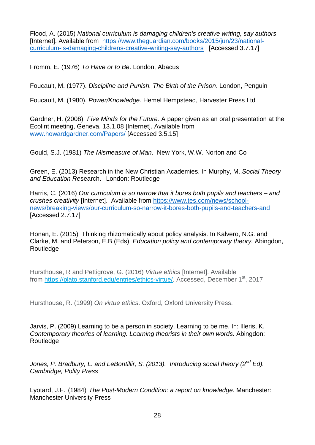Flood, A. (2015) *National curriculum is damaging children's creative writing, say authors* [Internet]. Available from [https://www.theguardian.com/books/2015/jun/23/national](https://www.theguardian.com/books/2015/jun/23/national-curriculum-is-damaging-childrens-creative-writing-say-authors)[curriculum-is-damaging-childrens-creative-writing-say-authors](https://www.theguardian.com/books/2015/jun/23/national-curriculum-is-damaging-childrens-creative-writing-say-authors) [Accessed 3.7.17]

Fromm, E. (1976) *To Have or to Be*. London, Abacus

Foucault, M. (1977). *Discipline and Punish. The Birth of the Prison*. London, Penguin

Foucault, M. (1980). *Power/Knowledge*. Hemel Hempstead, Harvester Press Ltd

Gardner, H. (2008) *Five Minds for the Future.* A paper given as an oral presentation at the Ecolint meeting, Geneva, 13.1.08 [Internet]. Available from [www.howardgardner.com/Papers/](http://www.howardgardner.com/Papers/) [Accessed 3.5.15]

Gould, S.J. (1981) *The Mismeasure of Man*. New York, W.W. Norton and Co

Green, E. (2013) Research in the New Christian Academies. In Murphy, M.,*Social Theory and Education Re*search. London: Routledge

Harris, C. (2016) *Our curriculum is so narrow that it bores both pupils and teachers – and crushes creativity* [Internet]. Available from [https://www.tes.com/news/school](https://www.tes.com/news/school-news/breaking-views/our-curriculum-so-narrow-it-bores-both-pupils-and-teachers-and)[news/breaking-views/our-curriculum-so-narrow-it-bores-both-pupils-and-teachers-and](https://www.tes.com/news/school-news/breaking-views/our-curriculum-so-narrow-it-bores-both-pupils-and-teachers-and)  [Accessed 2.7.17]

Honan, E. (2015) Thinking rhizomatically about policy analysis. In Kalvero, N.G. and Clarke, M. and Peterson, E.B (Eds) *Education policy and contemporary theory.* Abingdon, **Routledge** 

Hursthouse, R and Pettigrove, G. (2016) *Virtue ethics* [Internet]. Available from [https://plato.stanford.edu/entries/ethics-virtue/.](https://plato.stanford.edu/entries/ethics-virtue/) Accessed, December 1st, 2017

Hursthouse, R. (1999) *On virtue ethics*. Oxford, Oxford University Press.

Jarvis, P. (2009) Learning to be a person in society. Learning to be me. In: Illeris, K. *Contemporary theories of learning. Learning theorists in their own words.* Abingdon: Routledge

*Jones, P. Bradbury, L. and LeBontillir, S. (2013). Introducing social theory (2<sup>nd</sup> Ed). Cambridge, Polity Press*

Lyotard, J.F. (1984) *The Post-Modern Condition: a report on knowledge.* Manchester: Manchester University Press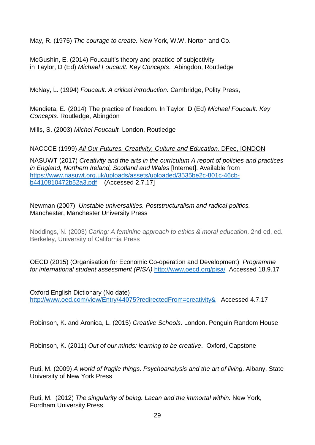May, R. (1975) *The courage to create.* New York, W.W. Norton and Co.

McGushin, E. (2014) Foucault's theory and practice of subjectivity in Taylor, D (Ed) *Michael Foucault. Key Concepts*. Abingdon, Routledge

McNay, L. (1994) *Foucault. A critical introduction.* Cambridge, Polity Press,

Mendieta, E. (2014) The practice of freedom. In Taylor, D (Ed) *Michael Foucault. Key Concepts*. Routledge, Abingdon

Mills, S. (2003) *Michel Foucault.* London, Routledge

NACCCE (1999) *All Our Futures. Creativity, Culture and Education.* DFee, lONDON

NASUWT (2017) *Creativity and the arts in the curriculum A report of policies and practices in England, Northern Ireland, Scotland and Wales* [Internet]. Available from [https://www.nasuwt.org.uk/uploads/assets/uploaded/3535be2c-801c-46cb](https://www.nasuwt.org.uk/uploads/assets/uploaded/3535be2c-801c-46cb-b4410810472b52a3.pdf)[b4410810472b52a3.pdf](https://www.nasuwt.org.uk/uploads/assets/uploaded/3535be2c-801c-46cb-b4410810472b52a3.pdf) (Accessed 2.7.17]

# Newman (2007) *Unstable universalities. Poststructuralism and radical politics.*  Manchester, Manchester University Press

Noddings, N. (2003) *Caring: A feminine approach to ethics & moral education*. 2nd ed. ed. Berkeley, University of California Press

OECD (2015) (Organisation for Economic Co-operation and Development) *Programme for international student assessment (PISA)* <http://www.oecd.org/pisa/>Accessed 18.9.17

Oxford English Dictionary (No date) <http://www.oed.com/view/Entry/44075?redirectedFrom=creativity&>Accessed 4.7.17

Robinson, K. and Aronica, L. (2015) *Creative Schools*. London. Penguin Random House

Robinson, K. (2011) *Out of our minds: learning to be creative*. Oxford, Capstone

Ruti, M. (2009) *A world of fragile things. Psychoanalysis and the art of living*. Albany, State University of New York Press

Ruti, M. (2012) *The singularity of being. Lacan and the immortal within.* New York, Fordham University Press